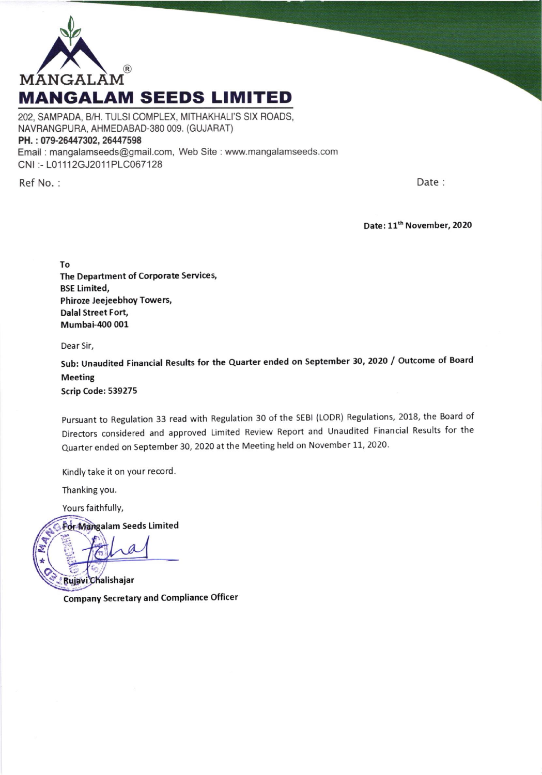

202, SAMPADA, B/H. TULSI COMPLEX, MITHAKHALI'S SIX ROADS. NAVRANGPURA, AHMEDABAD-380 009. (GUJARAT) PH.: 079-26447302, 26447598 Email: mangalamseeds@gmail.com, Web Site: www.mangalamseeds.com CNI:-L01112GJ2011PLC067128

Ref No.:

Date:

Date: 11<sup>th</sup> November, 2020

To The Department of Corporate Services, **BSE Limited,** Phiroze Jeejeebhoy Towers, **Dalal Street Fort,** Mumbai-400 001

Dear Sir,

Sub: Unaudited Financial Results for the Quarter ended on September 30, 2020 / Outcome of Board **Meeting** 

Scrip Code: 539275

Pursuant to Regulation 33 read with Regulation 30 of the SEBI (LODR) Regulations, 2018, the Board of Directors considered and approved Limited Review Report and Unaudited Financial Results for the Quarter ended on September 30, 2020 at the Meeting held on November 11, 2020.

Kindly take it on your record.

Thanking you.

Yours faithfully,

**For Mangalam Seeds Limited** 

Rujavi Chalishajar **Company Secretary and Compliance Officer**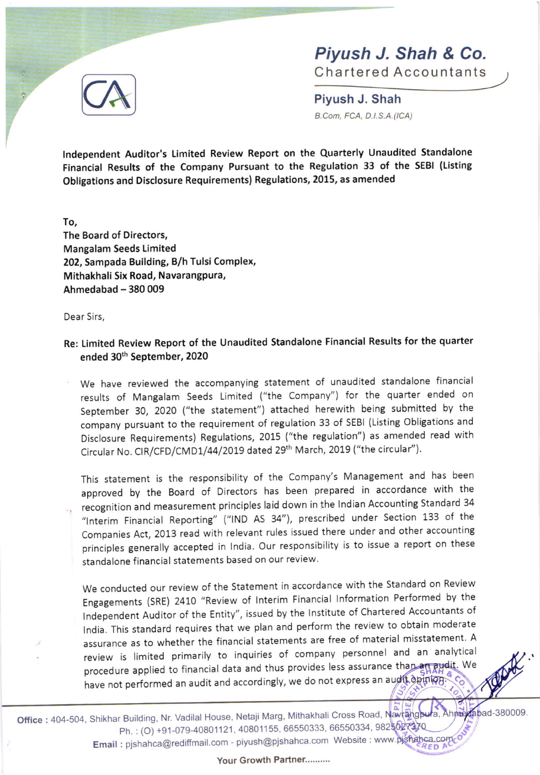

Chartered Accountants

rl F

Piyush J. Shah B.Con, FCA, D.l.S.A. (ICA)

Independent Auditor's Limited Review Report on the Quarterly Unaudited Standalone Financial Results of the company Pursuant to the Regulation 33 of the sEBl (Listing Obligations and Disclosure Requirements) Regulations, 2015, as amended

To, The Board of Directors, Mangalam Seeds Limited 202, Sampada Building, B/h Tulsi Complex, Mithakhali Six Road, Navarangpura, Ahmedabad - 380 009

Dear 5irs,

**CA** 

Re: Limited Review Report of the Unaudited Standalone Financial Results for the quarter ended 30<sup>th</sup> September, 2020

We have reviewed the accompanying statement of unaudited standalone financial results of Mangalam Seeds Limited ("the Company") for the quarter ended on September 30, 2O2O ("the statement") attached herewith being submitted by the company pursuant to the requirement of regulation 33 of sEBl (Listing obligations and Disclosure Requirements) Regulations,2015 ("the regulation") as amended read with Circular No. CIR/CFD/CMD1/44/2019 dated 29<sup>th</sup> March, 2019 ("the circular").

This statement is the responsibility of the company's Management and has been approved by the Board of Directors has been prepared in accordance with the recognition and measurement principles laid down in the Indian Accounting Standard 34 "lnterim Financial Reporting" ("lND AS 34"), prescribed under Section 133 of the companies Act, 2013 read with relevant rules issued there under and other accounting principles generally accepted in India. Our responsibility is to issue a report on these standalone financial statements based on our review.

We conducted our review of the Statement in accordance with the <sup>S</sup> tandard on Review Engagements (SRE) 2410 "Review of lnterim Financial lnformation Performed by the Independent Auditor of the Entity", issued by the Institute of Chartered Accountants of lndia. This standard requires that we plan and perform the review t o obtain moderate assurance as to whether the financial statements are free of materi al misstatement. A review is limited primarily to inquiries of company personnel and an analytical procedure applied to financial data and thus provides less assurance tha have not performed an audit and accordingly, we do not express an au  $5/5$ e

Office : 404-504, Shikhar Building, Nr. Vadilal House, Netaji Marg, Mithakhali Cross Road, Navrangbura, Ph.: (O) +91-079-40801121, 40801155, 66550333, 66550334, 9825027370 Email : pjshahca@rediffmail.com - piyush@pjshahca.com Website : www.pjshahca.com  $bad-380009$